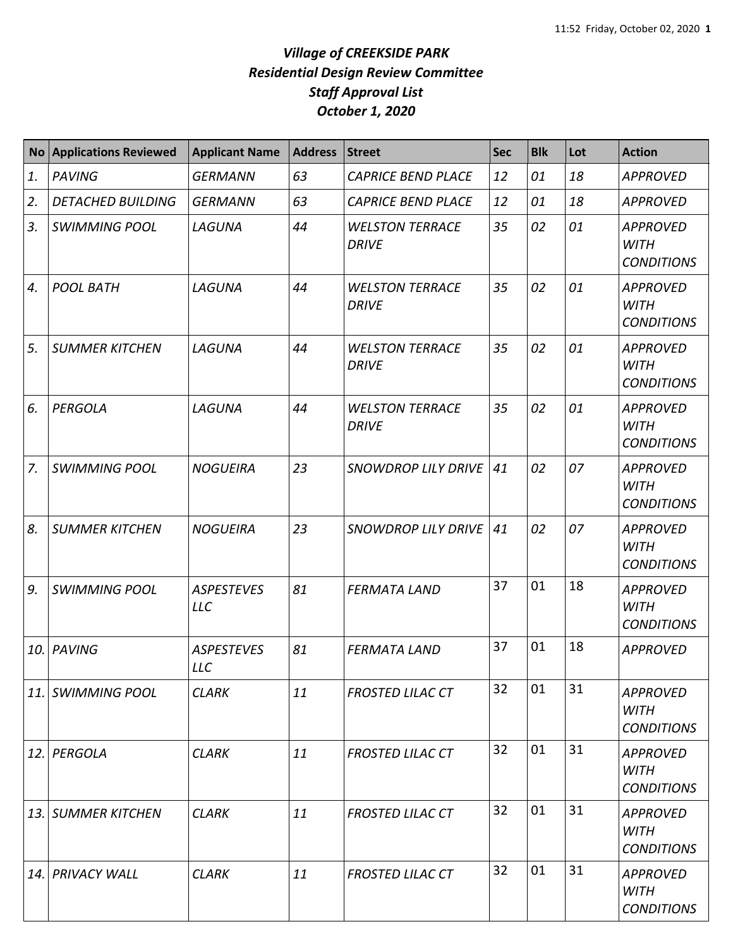|             | No Applications Reviewed | <b>Applicant Name</b>           | <b>Address</b> | <b>Street</b>                          | <b>Sec</b> | <b>Blk</b> | Lot | <b>Action</b>                                       |
|-------------|--------------------------|---------------------------------|----------------|----------------------------------------|------------|------------|-----|-----------------------------------------------------|
| 1.          | <b>PAVING</b>            | <b>GERMANN</b>                  | 63             | <b>CAPRICE BEND PLACE</b>              | 12         | 01         | 18  | <b>APPROVED</b>                                     |
| 2.          | <b>DETACHED BUILDING</b> | <b>GERMANN</b>                  | 63             | <b>CAPRICE BEND PLACE</b>              | 12         | 01         | 18  | <b>APPROVED</b>                                     |
| 3.          | <b>SWIMMING POOL</b>     | LAGUNA                          | 44             | <b>WELSTON TERRACE</b><br><b>DRIVE</b> | 35         | 02         | 01  | <b>APPROVED</b><br><b>WITH</b><br><b>CONDITIONS</b> |
| 4.          | <b>POOL BATH</b>         | LAGUNA                          | 44             | <b>WELSTON TERRACE</b><br><b>DRIVE</b> | 35         | 02         | 01  | <b>APPROVED</b><br><b>WITH</b><br><b>CONDITIONS</b> |
| 5.          | <b>SUMMER KITCHEN</b>    | LAGUNA                          | 44             | <b>WELSTON TERRACE</b><br><b>DRIVE</b> | 35         | 02         | 01  | <b>APPROVED</b><br><b>WITH</b><br><b>CONDITIONS</b> |
| 6.          | PERGOLA                  | LAGUNA                          | 44             | <b>WELSTON TERRACE</b><br><b>DRIVE</b> | 35         | 02         | 01  | <b>APPROVED</b><br><b>WITH</b><br><b>CONDITIONS</b> |
| $Z_{\cdot}$ | <b>SWIMMING POOL</b>     | <b>NOGUEIRA</b>                 | 23             | <b>SNOWDROP LILY DRIVE</b>             | 41         | 02         | 07  | <b>APPROVED</b><br><b>WITH</b><br><b>CONDITIONS</b> |
| 8.          | <b>SUMMER KITCHEN</b>    | <b>NOGUEIRA</b>                 | 23             | <b>SNOWDROP LILY DRIVE</b>             | 41         | 02         | 07  | <b>APPROVED</b><br><b>WITH</b><br><b>CONDITIONS</b> |
| 9.          | <b>SWIMMING POOL</b>     | <b>ASPESTEVES</b><br><b>LLC</b> | 81             | <b>FERMATA LAND</b>                    | 37         | 01         | 18  | <b>APPROVED</b><br><b>WITH</b><br><b>CONDITIONS</b> |
| 10.         | <b>PAVING</b>            | <b>ASPESTEVES</b><br><b>LLC</b> | 81             | <b>FERMATA LAND</b>                    | 37         | 01         | 18  | <b>APPROVED</b>                                     |
|             | 11. SWIMMING POOL        | <b>CLARK</b>                    | 11             | <b>FROSTED LILAC CT</b>                | 32         | 01         | 31  | <b>APPROVED</b><br><b>WITH</b><br><b>CONDITIONS</b> |
| 12.         | PERGOLA                  | <b>CLARK</b>                    | 11             | <b>FROSTED LILAC CT</b>                | 32         | 01         | 31  | <b>APPROVED</b><br><b>WITH</b><br><b>CONDITIONS</b> |
|             | 13. SUMMER KITCHEN       | <b>CLARK</b>                    | 11             | <b>FROSTED LILAC CT</b>                | 32         | 01         | 31  | <b>APPROVED</b><br>WITH<br><b>CONDITIONS</b>        |
|             | 14. PRIVACY WALL         | <b>CLARK</b>                    | 11             | <b>FROSTED LILAC CT</b>                | 32         | 01         | 31  | <b>APPROVED</b><br>WITH<br><b>CONDITIONS</b>        |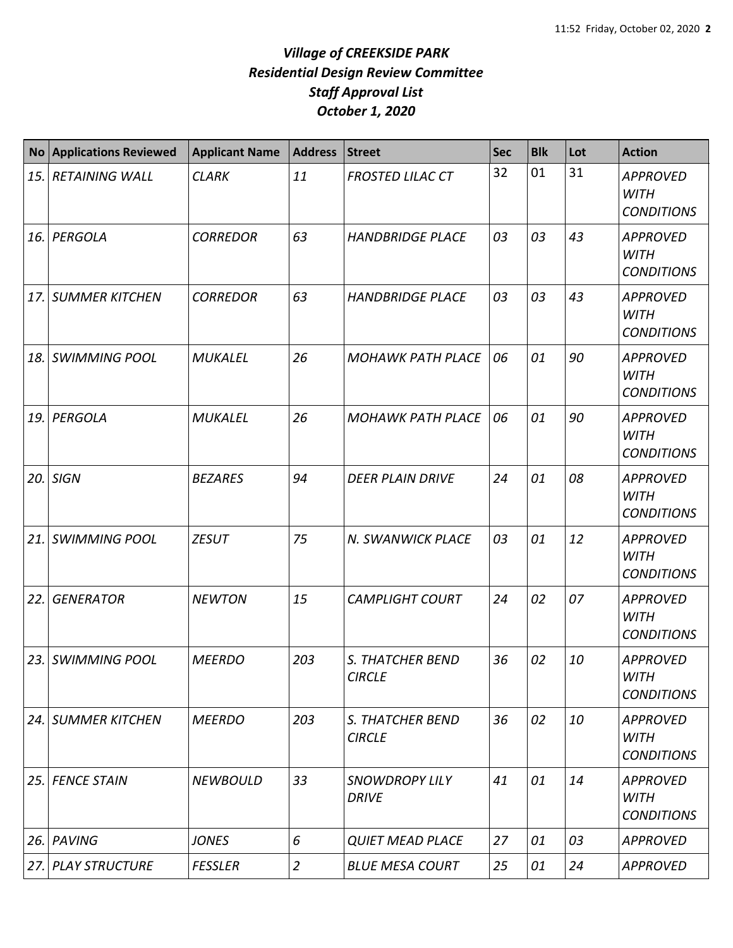| <b>No</b>  | <b>Applications Reviewed</b> | <b>Applicant Name</b> | <b>Address</b> | Street                                   | <b>Sec</b> | <b>Blk</b> | Lot | <b>Action</b>                                       |
|------------|------------------------------|-----------------------|----------------|------------------------------------------|------------|------------|-----|-----------------------------------------------------|
| 15.        | <b>RETAINING WALL</b>        | <b>CLARK</b>          | 11             | <b>FROSTED LILAC CT</b>                  | 32         | 01         | 31  | <b>APPROVED</b><br><b>WITH</b><br><b>CONDITIONS</b> |
| <b>16.</b> | PERGOLA                      | <b>CORREDOR</b>       | 63             | <b>HANDBRIDGE PLACE</b>                  | 03         | 03         | 43  | <b>APPROVED</b><br><b>WITH</b><br><b>CONDITIONS</b> |
| 17.        | <b>SUMMER KITCHEN</b>        | <b>CORREDOR</b>       | 63             | <b>HANDBRIDGE PLACE</b>                  | 03         | 03         | 43  | <b>APPROVED</b><br><b>WITH</b><br><b>CONDITIONS</b> |
| 18.        | <b>SWIMMING POOL</b>         | <b>MUKALEL</b>        | 26             | <b>MOHAWK PATH PLACE</b>                 | 06         | 01         | 90  | <b>APPROVED</b><br><b>WITH</b><br><b>CONDITIONS</b> |
| 19.        | PERGOLA                      | <b>MUKALEL</b>        | 26             | <b>MOHAWK PATH PLACE</b>                 | 06         | 01         | 90  | <b>APPROVED</b><br><b>WITH</b><br><b>CONDITIONS</b> |
| 20.        | <b>SIGN</b>                  | <b>BEZARES</b>        | 94             | <b>DEER PLAIN DRIVE</b>                  | 24         | 01         | 08  | <b>APPROVED</b><br><b>WITH</b><br><b>CONDITIONS</b> |
| 21.        | <b>SWIMMING POOL</b>         | <b>ZESUT</b>          | 75             | N. SWANWICK PLACE                        | 03         | 01         | 12  | <b>APPROVED</b><br><b>WITH</b><br><b>CONDITIONS</b> |
| 22.        | <b>GENERATOR</b>             | <b>NEWTON</b>         | 15             | <b>CAMPLIGHT COURT</b>                   | 24         | 02         | 07  | <b>APPROVED</b><br><b>WITH</b><br><b>CONDITIONS</b> |
| 23.        | <b>SWIMMING POOL</b>         | <b>MEERDO</b>         | 203            | <b>S. THATCHER BEND</b><br><b>CIRCLE</b> | 36         | 02         | 10  | <b>APPROVED</b><br><b>WITH</b><br><b>CONDITIONS</b> |
|            | 24. SUMMER KITCHEN           | <b>MEERDO</b>         | 203            | S. THATCHER BEND<br><b>CIRCLE</b>        | 36         | 02         | 10  | <b>APPROVED</b><br><b>WITH</b><br><b>CONDITIONS</b> |
| 25.        | <b>FENCE STAIN</b>           | <b>NEWBOULD</b>       | 33             | <b>SNOWDROPY LILY</b><br><b>DRIVE</b>    | 41         | 01         | 14  | <b>APPROVED</b><br><b>WITH</b><br><b>CONDITIONS</b> |
| 26.        | <b>PAVING</b>                | <b>JONES</b>          | 6              | <b>QUIET MEAD PLACE</b>                  | 27         | 01         | 03  | <b>APPROVED</b>                                     |
| 27.        | <b>PLAY STRUCTURE</b>        | <b>FESSLER</b>        | $\overline{2}$ | <b>BLUE MESA COURT</b>                   | 25         | 01         | 24  | <b>APPROVED</b>                                     |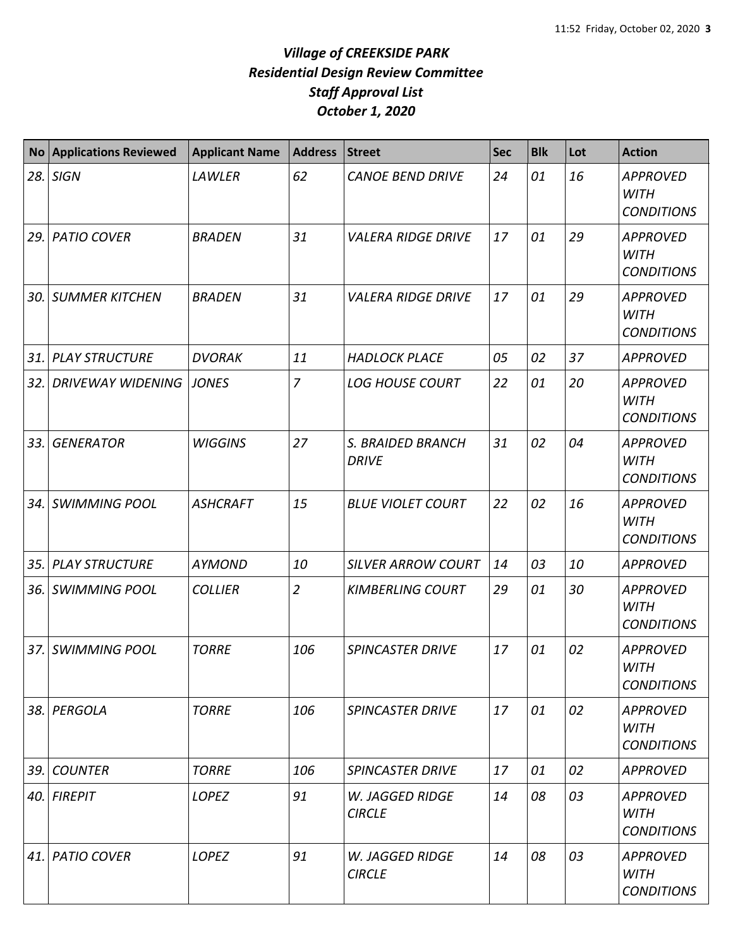| <b>No</b> | <b>Applications Reviewed</b> | <b>Applicant Name</b> | <b>Address</b> | <b>Street</b>                           | <b>Sec</b> | <b>Blk</b> | Lot | <b>Action</b>                                       |
|-----------|------------------------------|-----------------------|----------------|-----------------------------------------|------------|------------|-----|-----------------------------------------------------|
| 28.       | <b>SIGN</b>                  | LAWLER                | 62             | <b>CANOE BEND DRIVE</b>                 | 24         | 01         | 16  | <b>APPROVED</b><br><b>WITH</b><br><b>CONDITIONS</b> |
| 29.       | <b>PATIO COVER</b>           | <b>BRADEN</b>         | 31             | <b>VALERA RIDGE DRIVE</b>               | 17         | 01         | 29  | <b>APPROVED</b><br><b>WITH</b><br><b>CONDITIONS</b> |
| 30.       | <b>SUMMER KITCHEN</b>        | <b>BRADEN</b>         | 31             | <b>VALERA RIDGE DRIVE</b>               | 17         | 01         | 29  | <b>APPROVED</b><br><b>WITH</b><br><b>CONDITIONS</b> |
| 31.       | <b>PLAY STRUCTURE</b>        | <b>DVORAK</b>         | 11             | <b>HADLOCK PLACE</b>                    | 05         | 02         | 37  | <b>APPROVED</b>                                     |
| 32.       | <b>DRIVEWAY WIDENING</b>     | <b>JONES</b>          | $\overline{7}$ | <b>LOG HOUSE COURT</b>                  | 22         | 01         | 20  | <b>APPROVED</b><br><b>WITH</b><br><b>CONDITIONS</b> |
| 33.       | <b>GENERATOR</b>             | <b>WIGGINS</b>        | 27             | S. BRAIDED BRANCH<br><b>DRIVE</b>       | 31         | 02         | 04  | <b>APPROVED</b><br><b>WITH</b><br><b>CONDITIONS</b> |
| 34.       | <b>SWIMMING POOL</b>         | <b>ASHCRAFT</b>       | 15             | <b>BLUE VIOLET COURT</b>                | 22         | 02         | 16  | <b>APPROVED</b><br><b>WITH</b><br><b>CONDITIONS</b> |
| 35.       | <b>PLAY STRUCTURE</b>        | <b>AYMOND</b>         | 10             | <b>SILVER ARROW COURT</b>               | 14         | 03         | 10  | <b>APPROVED</b>                                     |
| 36.       | <b>SWIMMING POOL</b>         | <b>COLLIER</b>        | $\overline{2}$ | <b>KIMBERLING COURT</b>                 | 29         | 01         | 30  | <b>APPROVED</b><br><b>WITH</b><br><b>CONDITIONS</b> |
| 37.       | <b>SWIMMING POOL</b>         | <b>TORRE</b>          | 106            | <b>SPINCASTER DRIVE</b>                 | 17         | 01         | 02  | <b>APPROVED</b><br><b>WITH</b><br><b>CONDITIONS</b> |
| 38.       | PERGOLA                      | <b>TORRE</b>          | 106            | <b>SPINCASTER DRIVE</b>                 | 17         | 01         | 02  | <b>APPROVED</b><br><b>WITH</b><br><b>CONDITIONS</b> |
| 39.       | <b>COUNTER</b>               | <b>TORRE</b>          | 106            | <b>SPINCASTER DRIVE</b>                 | 17         | 01         | 02  | <b>APPROVED</b>                                     |
| 40.       | <b>FIREPIT</b>               | LOPEZ                 | 91             | W. JAGGED RIDGE<br><b>CIRCLE</b>        | 14         | 08         | 03  | <b>APPROVED</b><br><b>WITH</b><br><b>CONDITIONS</b> |
| 41.       | <b>PATIO COVER</b>           | LOPEZ                 | 91             | <b>W. JAGGED RIDGE</b><br><b>CIRCLE</b> | 14         | 08         | 03  | <b>APPROVED</b><br>WITH<br><b>CONDITIONS</b>        |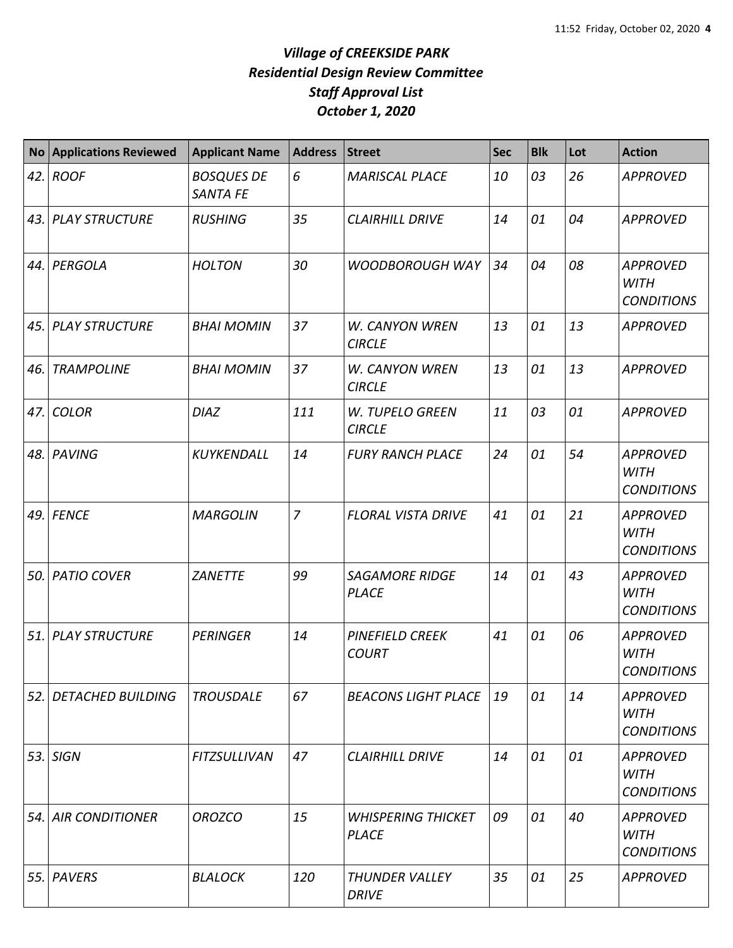| <b>No</b> | <b>Applications Reviewed</b> | <b>Applicant Name</b>         | <b>Address</b> | <b>Street</b>                             | <b>Sec</b> | <b>Blk</b> | Lot | <b>Action</b>                                       |
|-----------|------------------------------|-------------------------------|----------------|-------------------------------------------|------------|------------|-----|-----------------------------------------------------|
| 42.       | <b>ROOF</b>                  | <b>BOSQUES DE</b><br>SANTA FE | 6              | <b>MARISCAL PLACE</b>                     | 10         | 03         | 26  | <b>APPROVED</b>                                     |
| 43.       | <b>PLAY STRUCTURE</b>        | <b>RUSHING</b>                | 35             | <b>CLAIRHILL DRIVE</b>                    | 14         | 01         | 04  | <b>APPROVED</b>                                     |
| 44.       | PERGOLA                      | <b>HOLTON</b>                 | 30             | <b>WOODBOROUGH WAY</b>                    | 34         | 04         | 08  | <b>APPROVED</b><br><b>WITH</b><br><b>CONDITIONS</b> |
| 45.       | <b>PLAY STRUCTURE</b>        | <b>BHAI MOMIN</b>             | 37             | <b>W. CANYON WREN</b><br><b>CIRCLE</b>    | 13         | 01         | 13  | <b>APPROVED</b>                                     |
| 46.       | <b>TRAMPOLINE</b>            | <b>BHAI MOMIN</b>             | 37             | <b>W. CANYON WREN</b><br><b>CIRCLE</b>    | 13         | 01         | 13  | <b>APPROVED</b>                                     |
| 47.       | <b>COLOR</b>                 | <b>DIAZ</b>                   | 111            | W. TUPELO GREEN<br><b>CIRCLE</b>          | 11         | 03         | 01  | <b>APPROVED</b>                                     |
| 48.       | PAVING                       | KUYKENDALL                    | 14             | <b>FURY RANCH PLACE</b>                   | 24         | 01         | 54  | <b>APPROVED</b><br><b>WITH</b><br><b>CONDITIONS</b> |
| 49.       | <b>FENCE</b>                 | <b>MARGOLIN</b>               | $\overline{7}$ | <b>FLORAL VISTA DRIVE</b>                 | 41         | 01         | 21  | <b>APPROVED</b><br><b>WITH</b><br><b>CONDITIONS</b> |
| 50.       | <b>PATIO COVER</b>           | <b>ZANETTE</b>                | 99             | <b>SAGAMORE RIDGE</b><br><b>PLACE</b>     | 14         | 01         | 43  | <b>APPROVED</b><br><b>WITH</b><br><b>CONDITIONS</b> |
| 51.       | <b>PLAY STRUCTURE</b>        | <b>PERINGER</b>               | 14             | PINEFIELD CREEK<br><b>COURT</b>           | 41         | 01         | 06  | <b>APPROVED</b><br><b>WITH</b><br><b>CONDITIONS</b> |
| 52.       | <b>DETACHED BUILDING</b>     | <b>TROUSDALE</b>              | 67             | <b>BEACONS LIGHT PLACE</b>                | 19         | 01         | 14  | <b>APPROVED</b><br><b>WITH</b><br><b>CONDITIONS</b> |
| 53.       | <b>SIGN</b>                  | <b>FITZSULLIVAN</b>           | 47             | <b>CLAIRHILL DRIVE</b>                    | 14         | 01         | 01  | <b>APPROVED</b><br><b>WITH</b><br><b>CONDITIONS</b> |
| 54.       | <b>AIR CONDITIONER</b>       | <b>OROZCO</b>                 | 15             | <b>WHISPERING THICKET</b><br><b>PLACE</b> | 09         | 01         | 40  | <b>APPROVED</b><br>WITH<br><b>CONDITIONS</b>        |
| 55.       | PAVERS                       | <b>BLALOCK</b>                | 120            | <b>THUNDER VALLEY</b><br><b>DRIVE</b>     | 35         | 01         | 25  | <b>APPROVED</b>                                     |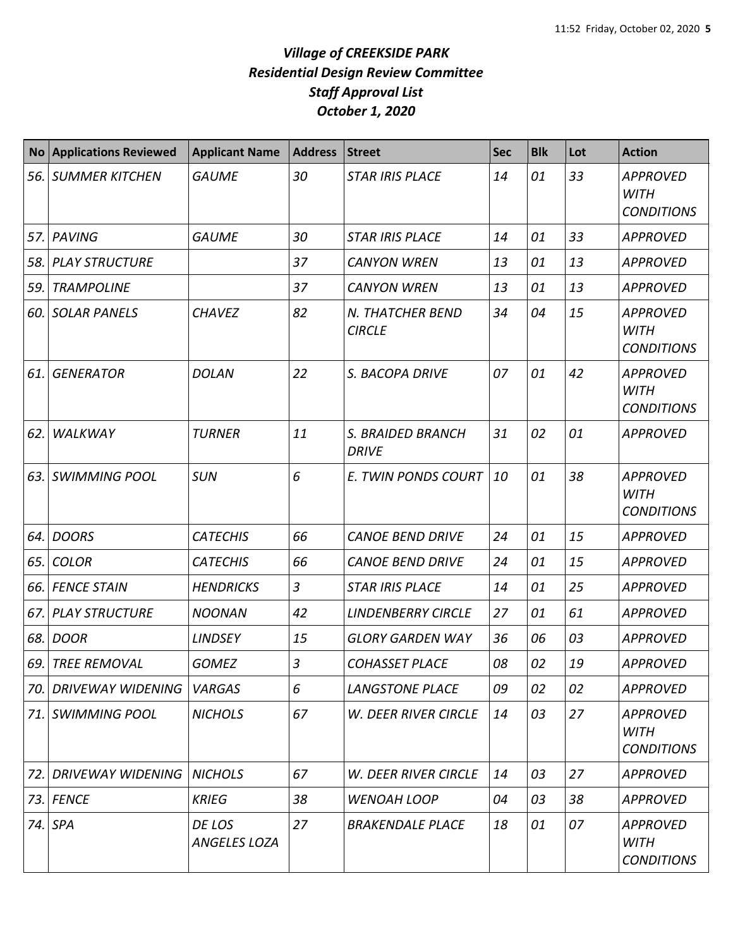| <b>No</b> | <b>Applications Reviewed</b>       | <b>Applicant Name</b>         | <b>Address</b> | <b>Street</b>                     | <b>Sec</b> | <b>Blk</b> | Lot | <b>Action</b>                                       |
|-----------|------------------------------------|-------------------------------|----------------|-----------------------------------|------------|------------|-----|-----------------------------------------------------|
| 56.       | <b>SUMMER KITCHEN</b>              | <b>GAUME</b>                  | 30             | <b>STAR IRIS PLACE</b>            | 14         | 01         | 33  | <b>APPROVED</b><br><b>WITH</b><br><b>CONDITIONS</b> |
| 57.       | <b>PAVING</b>                      | <b>GAUME</b>                  | 30             | <b>STAR IRIS PLACE</b>            | 14         | 01         | 33  | <b>APPROVED</b>                                     |
| 58.       | <b>PLAY STRUCTURE</b>              |                               | 37             | <b>CANYON WREN</b>                | 13         | 01         | 13  | <b>APPROVED</b>                                     |
| 59.       | <b>TRAMPOLINE</b>                  |                               | 37             | <b>CANYON WREN</b>                | 13         | 01         | 13  | <b>APPROVED</b>                                     |
| 60.       | <b>SOLAR PANELS</b>                | <b>CHAVEZ</b>                 | 82             | N. THATCHER BEND<br><b>CIRCLE</b> | 34         | 04         | 15  | <b>APPROVED</b><br><b>WITH</b><br><b>CONDITIONS</b> |
| 61.       | <b>GENERATOR</b>                   | <b>DOLAN</b>                  | 22             | S. BACOPA DRIVE                   | 07         | 01         | 42  | <b>APPROVED</b><br><b>WITH</b><br><b>CONDITIONS</b> |
| 62.       | WALKWAY                            | <b>TURNER</b>                 | 11             | S. BRAIDED BRANCH<br><b>DRIVE</b> | 31         | 02         | 01  | <b>APPROVED</b>                                     |
| 63.       | <b>SWIMMING POOL</b>               | <b>SUN</b>                    | 6              | E. TWIN PONDS COURT               | 10         | 01         | 38  | <b>APPROVED</b><br><b>WITH</b><br><b>CONDITIONS</b> |
| 64.       | <b>DOORS</b>                       | <b>CATECHIS</b>               | 66             | <b>CANOE BEND DRIVE</b>           | 24         | 01         | 15  | <b>APPROVED</b>                                     |
| 65.       | <b>COLOR</b>                       | <b>CATECHIS</b>               | 66             | <b>CANOE BEND DRIVE</b>           | 24         | 01         | 15  | <b>APPROVED</b>                                     |
| 66.       | <b>FENCE STAIN</b>                 | <b>HENDRICKS</b>              | $\overline{3}$ | <b>STAR IRIS PLACE</b>            | 14         | 01         | 25  | <b>APPROVED</b>                                     |
| 67.       | <b>PLAY STRUCTURE</b>              | <b>NOONAN</b>                 | 42             | <b>LINDENBERRY CIRCLE</b>         | 27         | 01         | 61  | <b>APPROVED</b>                                     |
| 68.       | <b>DOOR</b>                        | <b>LINDSEY</b>                | 15             | <b>GLORY GARDEN WAY</b>           | 36         | 06         | 03  | <b>APPROVED</b>                                     |
| 69.       | <b>TREE REMOVAL</b>                | <b>GOMEZ</b>                  | 3              | <b>COHASSET PLACE</b>             | 08         | 02         | 19  | <b>APPROVED</b>                                     |
| 70.       | DRIVEWAY WIDENING                  | <b>VARGAS</b>                 | 6              | <b>LANGSTONE PLACE</b>            | 09         | 02         | 02  | <b>APPROVED</b>                                     |
| 71.       | <b>SWIMMING POOL</b>               | <b>NICHOLS</b>                | 67             | <b>W. DEER RIVER CIRCLE</b>       | 14         | 03         | 27  | <b>APPROVED</b><br><b>WITH</b><br><b>CONDITIONS</b> |
| 72.       | <b>DRIVEWAY WIDENING   NICHOLS</b> |                               | 67             | W. DEER RIVER CIRCLE              | 14         | 03         | 27  | <b>APPROVED</b>                                     |
| 73.       | <b>FENCE</b>                       | <b>KRIEG</b>                  | 38             | <b>WENOAH LOOP</b>                | 04         | 03         | 38  | <b>APPROVED</b>                                     |
| 74.       | <b>SPA</b>                         | DE LOS<br><b>ANGELES LOZA</b> | 27             | <b>BRAKENDALE PLACE</b>           | 18         | 01         | 07  | <b>APPROVED</b><br><b>WITH</b><br><b>CONDITIONS</b> |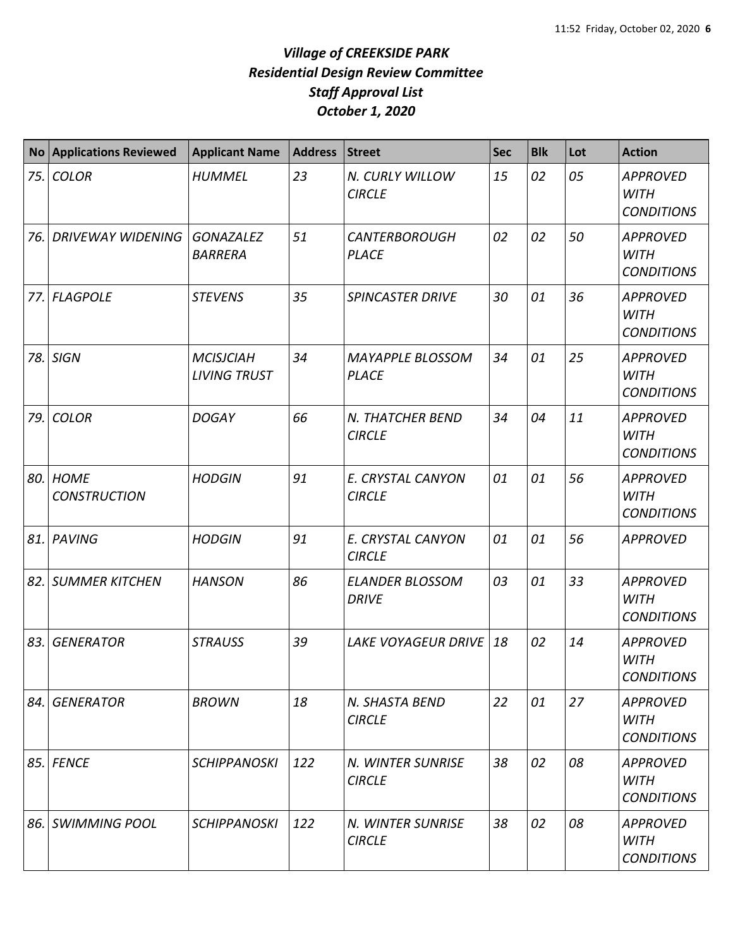| No   | <b>Applications Reviewed</b>    | <b>Applicant Name</b>                   | <b>Address</b> | Street                                  | <b>Sec</b> | <b>Blk</b> | Lot | <b>Action</b>                                       |
|------|---------------------------------|-----------------------------------------|----------------|-----------------------------------------|------------|------------|-----|-----------------------------------------------------|
| 75.  | <b>COLOR</b>                    | <b>HUMMEL</b>                           | 23             | N. CURLY WILLOW<br><b>CIRCLE</b>        | 15         | 02         | 05  | <b>APPROVED</b><br><b>WITH</b><br><b>CONDITIONS</b> |
| 76.  | <b>DRIVEWAY WIDENING</b>        | <b>GONAZALEZ</b><br><b>BARRERA</b>      | 51             | <b>CANTERBOROUGH</b><br><b>PLACE</b>    | 02         | 02         | 50  | <b>APPROVED</b><br><b>WITH</b><br><b>CONDITIONS</b> |
| 77.I | <b>FLAGPOLE</b>                 | <b>STEVENS</b>                          | 35             | <b>SPINCASTER DRIVE</b>                 | 30         | 01         | 36  | <b>APPROVED</b><br><b>WITH</b><br><b>CONDITIONS</b> |
| 78.  | <b>SIGN</b>                     | <b>MCISJCIAH</b><br><b>LIVING TRUST</b> | 34             | <b>MAYAPPLE BLOSSOM</b><br><b>PLACE</b> | 34         | 01         | 25  | <b>APPROVED</b><br><b>WITH</b><br><b>CONDITIONS</b> |
| 79.  | <b>COLOR</b>                    | <b>DOGAY</b>                            | 66             | N. THATCHER BEND<br><b>CIRCLE</b>       | 34         | 04         | 11  | <b>APPROVED</b><br><b>WITH</b><br><b>CONDITIONS</b> |
|      | 80. HOME<br><b>CONSTRUCTION</b> | <b>HODGIN</b>                           | 91             | E. CRYSTAL CANYON<br><b>CIRCLE</b>      | 01         | 01         | 56  | <b>APPROVED</b><br><b>WITH</b><br><b>CONDITIONS</b> |
|      | 81. PAVING                      | <b>HODGIN</b>                           | 91             | E. CRYSTAL CANYON<br><b>CIRCLE</b>      | 01         | 01         | 56  | <b>APPROVED</b>                                     |
|      | 82. SUMMER KITCHEN              | <b>HANSON</b>                           | 86             | <b>ELANDER BLOSSOM</b><br><b>DRIVE</b>  | 03         | 01         | 33  | <b>APPROVED</b><br><b>WITH</b><br><b>CONDITIONS</b> |
| 83.  | <b>GENERATOR</b>                | <b>STRAUSS</b>                          | 39             | <b>LAKE VOYAGEUR DRIVE</b>              | 18         | 02         | 14  | <b>APPROVED</b><br><b>WITH</b><br><b>CONDITIONS</b> |
|      | 84. GENERATOR                   | <b>BROWN</b>                            | 18             | N. SHASTA BEND<br><b>CIRCLE</b>         | 22         | 01         | 27  | <b>APPROVED</b><br><b>WITH</b><br><b>CONDITIONS</b> |
|      | 85. FENCE                       | <b>SCHIPPANOSKI</b>                     | 122            | N. WINTER SUNRISE<br><b>CIRCLE</b>      | 38         | 02         | 08  | <b>APPROVED</b><br>WITH<br><b>CONDITIONS</b>        |
|      | 86. SWIMMING POOL               | <b>SCHIPPANOSKI</b>                     | 122            | N. WINTER SUNRISE<br><b>CIRCLE</b>      | 38         | 02         | 08  | <b>APPROVED</b><br><b>WITH</b><br><b>CONDITIONS</b> |